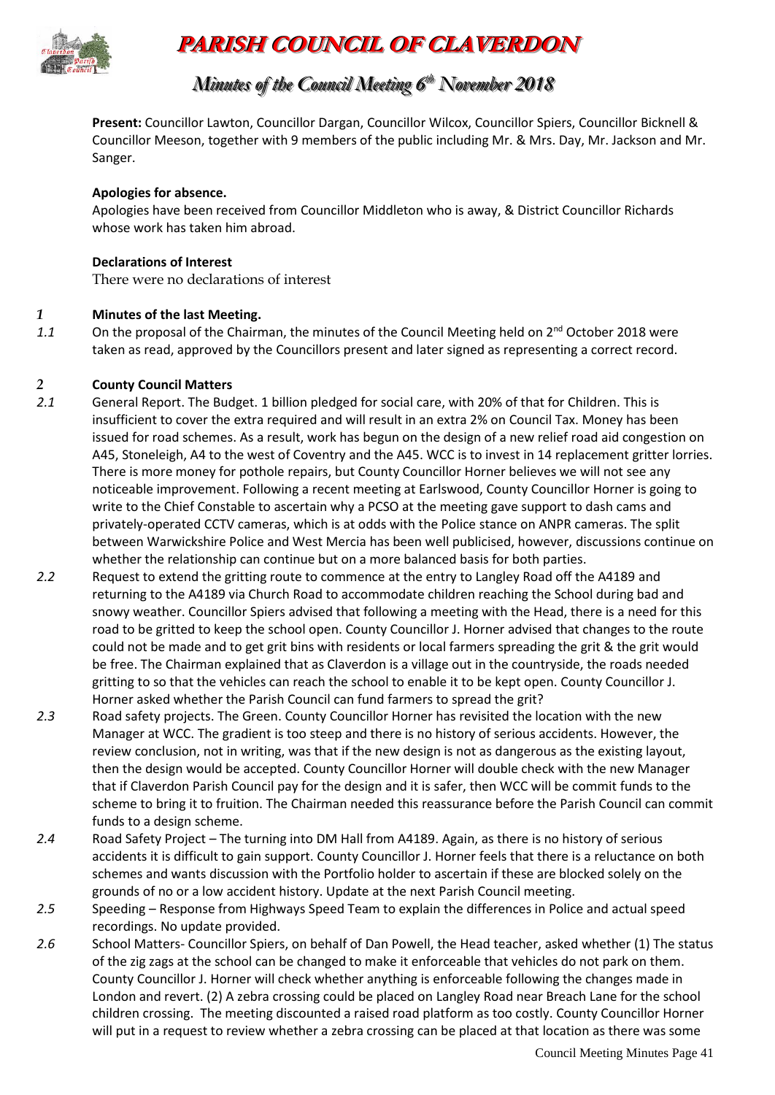

# **PARISH COUNCIL OF CLAVERDON**

### *Minutes of the Council Meeting 6 t thh November 2018*

**Present:** Councillor Lawton, Councillor Dargan, Councillor Wilcox, Councillor Spiers, Councillor Bicknell & Councillor Meeson, together with 9 members of the public including Mr. & Mrs. Day, Mr. Jackson and Mr. Sanger.

#### **Apologies for absence.**

Apologies have been received from Councillor Middleton who is away, & District Councillor Richards whose work has taken him abroad.

#### **Declarations of Interest**

There were no declarations of interest

#### *1* **Minutes of the last Meeting.**

1.1 On the proposal of the Chairman, the minutes of the Council Meeting held on 2<sup>nd</sup> October 2018 were taken as read, approved by the Councillors present and later signed as representing a correct record.

#### *2* **County Council Matters**

- *2.1* General Report. The Budget. 1 billion pledged for social care, with 20% of that for Children. This is insufficient to cover the extra required and will result in an extra 2% on Council Tax. Money has been issued for road schemes. As a result, work has begun on the design of a new relief road aid congestion on A45, Stoneleigh, A4 to the west of Coventry and the A45. WCC is to invest in 14 replacement gritter lorries. There is more money for pothole repairs, but County Councillor Horner believes we will not see any noticeable improvement. Following a recent meeting at Earlswood, County Councillor Horner is going to write to the Chief Constable to ascertain why a PCSO at the meeting gave support to dash cams and privately-operated CCTV cameras, which is at odds with the Police stance on ANPR cameras. The split between Warwickshire Police and West Mercia has been well publicised, however, discussions continue on whether the relationship can continue but on a more balanced basis for both parties.
- *2.2* Request to extend the gritting route to commence at the entry to Langley Road off the A4189 and returning to the A4189 via Church Road to accommodate children reaching the School during bad and snowy weather. Councillor Spiers advised that following a meeting with the Head, there is a need for this road to be gritted to keep the school open. County Councillor J. Horner advised that changes to the route could not be made and to get grit bins with residents or local farmers spreading the grit & the grit would be free. The Chairman explained that as Claverdon is a village out in the countryside, the roads needed gritting to so that the vehicles can reach the school to enable it to be kept open. County Councillor J. Horner asked whether the Parish Council can fund farmers to spread the grit?
- *2.3* Road safety projects. The Green. County Councillor Horner has revisited the location with the new Manager at WCC. The gradient is too steep and there is no history of serious accidents. However, the review conclusion, not in writing, was that if the new design is not as dangerous as the existing layout, then the design would be accepted. County Councillor Horner will double check with the new Manager that if Claverdon Parish Council pay for the design and it is safer, then WCC will be commit funds to the scheme to bring it to fruition. The Chairman needed this reassurance before the Parish Council can commit funds to a design scheme.
- *2.4* Road Safety Project The turning into DM Hall from A4189. Again, as there is no history of serious accidents it is difficult to gain support. County Councillor J. Horner feels that there is a reluctance on both schemes and wants discussion with the Portfolio holder to ascertain if these are blocked solely on the grounds of no or a low accident history. Update at the next Parish Council meeting.
- *2.5* Speeding Response from Highways Speed Team to explain the differences in Police and actual speed recordings. No update provided.
- *2.6* School Matters- Councillor Spiers, on behalf of Dan Powell, the Head teacher, asked whether (1) The status of the zig zags at the school can be changed to make it enforceable that vehicles do not park on them. County Councillor J. Horner will check whether anything is enforceable following the changes made in London and revert. (2) A zebra crossing could be placed on Langley Road near Breach Lane for the school children crossing. The meeting discounted a raised road platform as too costly. County Councillor Horner will put in a request to review whether a zebra crossing can be placed at that location as there was some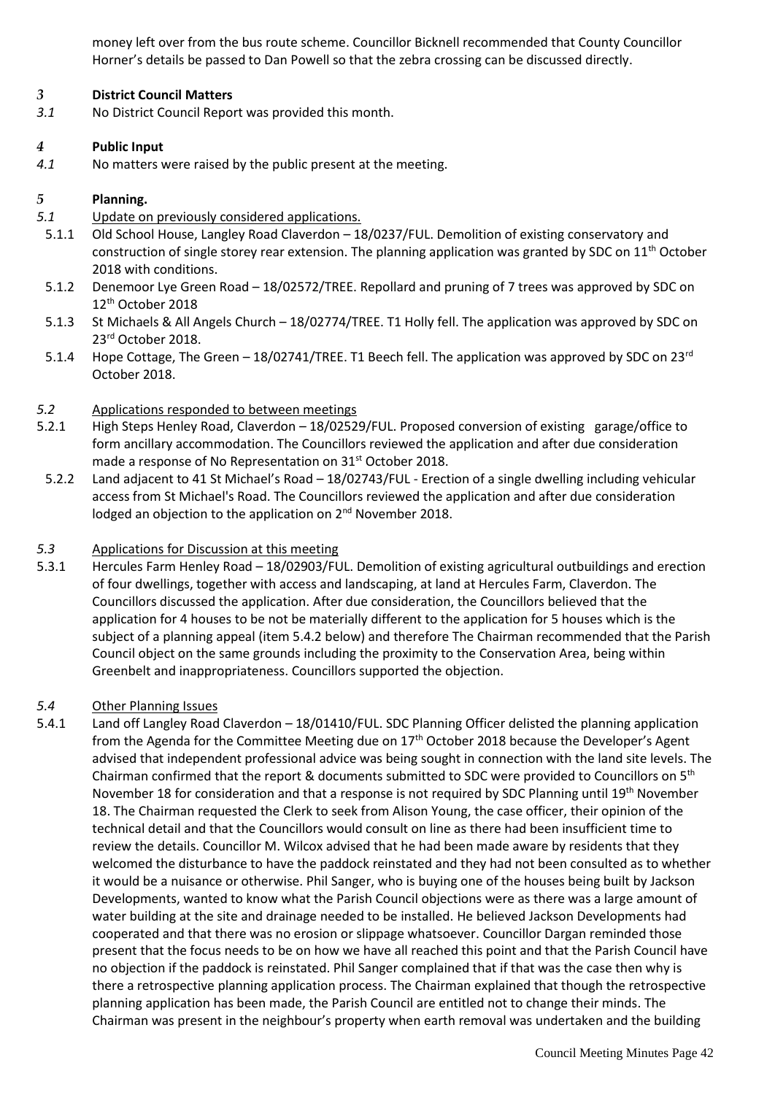money left over from the bus route scheme. Councillor Bicknell recommended that County Councillor Horner's details be passed to Dan Powell so that the zebra crossing can be discussed directly.

#### *3* **District Council Matters**

*3.1* No District Council Report was provided this month.

#### *4* **Public Input**

*4.1* No matters were raised by the public present at the meeting.

#### *5* **Planning.**

- *5.1* Update on previously considered applications.
- 5.1.1 Old School House, Langley Road Claverdon 18/0237/FUL. Demolition of existing conservatory and construction of single storey rear extension. The planning application was granted by SDC on 11<sup>th</sup> October 2018 with conditions.
- 5.1.2 Denemoor Lye Green Road 18/02572/TREE. Repollard and pruning of 7 trees was approved by SDC on 12th October 2018
- 5.1.3 St Michaels & All Angels Church 18/02774/TREE. T1 Holly fell. The application was approved by SDC on 23<sup>rd</sup> October 2018.
- 5.1.4 Hope Cottage, The Green 18/02741/TREE. T1 Beech fell. The application was approved by SDC on 23<sup>rd</sup> October 2018.

#### *5.2* Applications responded to between meetings

- 5.2.1 High Steps Henley Road, Claverdon 18/02529/FUL. Proposed conversion of existing garage/office to form ancillary accommodation. The Councillors reviewed the application and after due consideration made a response of No Representation on 31<sup>st</sup> October 2018.
- 5.2.2 Land adjacent to 41 St Michael's Road 18/02743/FUL Erection of a single dwelling including vehicular access from St Michael's Road. The Councillors reviewed the application and after due consideration lodged an objection to the application on 2<sup>nd</sup> November 2018.

#### *5.3* Applications for Discussion at this meeting

5.3.1 Hercules Farm Henley Road – 18/02903/FUL. Demolition of existing agricultural outbuildings and erection of four dwellings, together with access and landscaping, at land at Hercules Farm, Claverdon. The Councillors discussed the application. After due consideration, the Councillors believed that the application for 4 houses to be not be materially different to the application for 5 houses which is the subject of a planning appeal (item 5.4.2 below) and therefore The Chairman recommended that the Parish Council object on the same grounds including the proximity to the Conservation Area, being within Greenbelt and inappropriateness. Councillors supported the objection.

#### *5.4* Other Planning Issues

5.4.1 Land off Langley Road Claverdon – 18/01410/FUL. SDC Planning Officer delisted the planning application from the Agenda for the Committee Meeting due on 17th October 2018 because the Developer's Agent advised that independent professional advice was being sought in connection with the land site levels. The Chairman confirmed that the report & documents submitted to SDC were provided to Councillors on  $5<sup>th</sup>$ November 18 for consideration and that a response is not required by SDC Planning until 19<sup>th</sup> November 18. The Chairman requested the Clerk to seek from Alison Young, the case officer, their opinion of the technical detail and that the Councillors would consult on line as there had been insufficient time to review the details. Councillor M. Wilcox advised that he had been made aware by residents that they welcomed the disturbance to have the paddock reinstated and they had not been consulted as to whether it would be a nuisance or otherwise. Phil Sanger, who is buying one of the houses being built by Jackson Developments, wanted to know what the Parish Council objections were as there was a large amount of water building at the site and drainage needed to be installed. He believed Jackson Developments had cooperated and that there was no erosion or slippage whatsoever. Councillor Dargan reminded those present that the focus needs to be on how we have all reached this point and that the Parish Council have no objection if the paddock is reinstated. Phil Sanger complained that if that was the case then why is there a retrospective planning application process. The Chairman explained that though the retrospective planning application has been made, the Parish Council are entitled not to change their minds. The Chairman was present in the neighbour's property when earth removal was undertaken and the building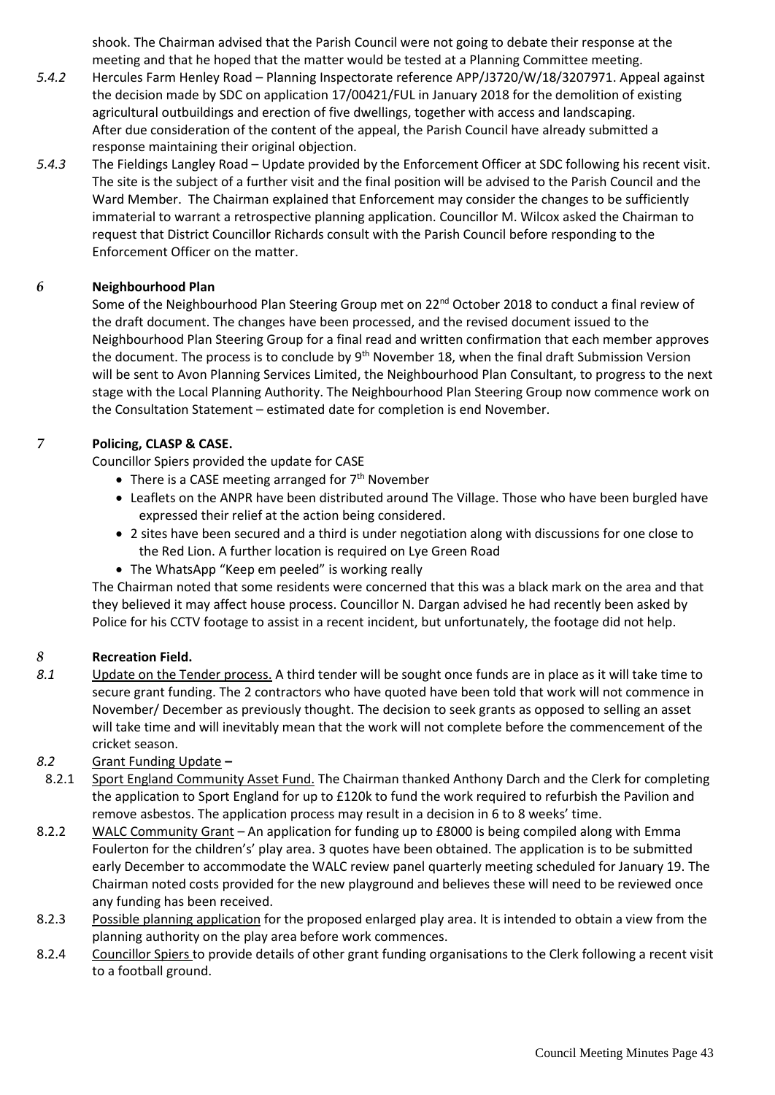shook. The Chairman advised that the Parish Council were not going to debate their response at the meeting and that he hoped that the matter would be tested at a Planning Committee meeting.

- *5.4.2* Hercules Farm Henley Road Planning Inspectorate reference APP/J3720/W/18/3207971. Appeal against the decision made by SDC on application 17/00421/FUL in January 2018 for the demolition of existing agricultural outbuildings and erection of five dwellings, together with access and landscaping. After due consideration of the content of the appeal, the Parish Council have already submitted a response maintaining their original objection.
- *5.4.3* The Fieldings Langley Road Update provided by the Enforcement Officer at SDC following his recent visit. The site is the subject of a further visit and the final position will be advised to the Parish Council and the Ward Member. The Chairman explained that Enforcement may consider the changes to be sufficiently immaterial to warrant a retrospective planning application. Councillor M. Wilcox asked the Chairman to request that District Councillor Richards consult with the Parish Council before responding to the Enforcement Officer on the matter.

#### *6* **Neighbourhood Plan**

Some of the Neighbourhood Plan Steering Group met on 22<sup>nd</sup> October 2018 to conduct a final review of the draft document. The changes have been processed, and the revised document issued to the Neighbourhood Plan Steering Group for a final read and written confirmation that each member approves the document. The process is to conclude by 9<sup>th</sup> November 18, when the final draft Submission Version will be sent to Avon Planning Services Limited, the Neighbourhood Plan Consultant, to progress to the next stage with the Local Planning Authority. The Neighbourhood Plan Steering Group now commence work on the Consultation Statement – estimated date for completion is end November.

#### *7* **Policing, CLASP & CASE.**

Councillor Spiers provided the update for CASE

- There is a CASE meeting arranged for  $7<sup>th</sup>$  November
- Leaflets on the ANPR have been distributed around The Village. Those who have been burgled have expressed their relief at the action being considered.
- 2 sites have been secured and a third is under negotiation along with discussions for one close to the Red Lion. A further location is required on Lye Green Road
- The WhatsApp "Keep em peeled" is working really

The Chairman noted that some residents were concerned that this was a black mark on the area and that they believed it may affect house process. Councillor N. Dargan advised he had recently been asked by Police for his CCTV footage to assist in a recent incident, but unfortunately, the footage did not help.

#### *8* **Recreation Field.**

*8.1* Update on the Tender process. A third tender will be sought once funds are in place as it will take time to secure grant funding. The 2 contractors who have quoted have been told that work will not commence in November/ December as previously thought. The decision to seek grants as opposed to selling an asset will take time and will inevitably mean that the work will not complete before the commencement of the cricket season.

#### *8.2* Grant Funding Update **–**

- 8.2.1 Sport England Community Asset Fund. The Chairman thanked Anthony Darch and the Clerk for completing the application to Sport England for up to £120k to fund the work required to refurbish the Pavilion and remove asbestos. The application process may result in a decision in 6 to 8 weeks' time.
- 8.2.2 WALC Community Grant An application for funding up to £8000 is being compiled along with Emma Foulerton for the children's' play area. 3 quotes have been obtained. The application is to be submitted early December to accommodate the WALC review panel quarterly meeting scheduled for January 19. The Chairman noted costs provided for the new playground and believes these will need to be reviewed once any funding has been received.
- 8.2.3 Possible planning application for the proposed enlarged play area. It is intended to obtain a view from the planning authority on the play area before work commences.
- 8.2.4 Councillor Spiers to provide details of other grant funding organisations to the Clerk following a recent visit to a football ground.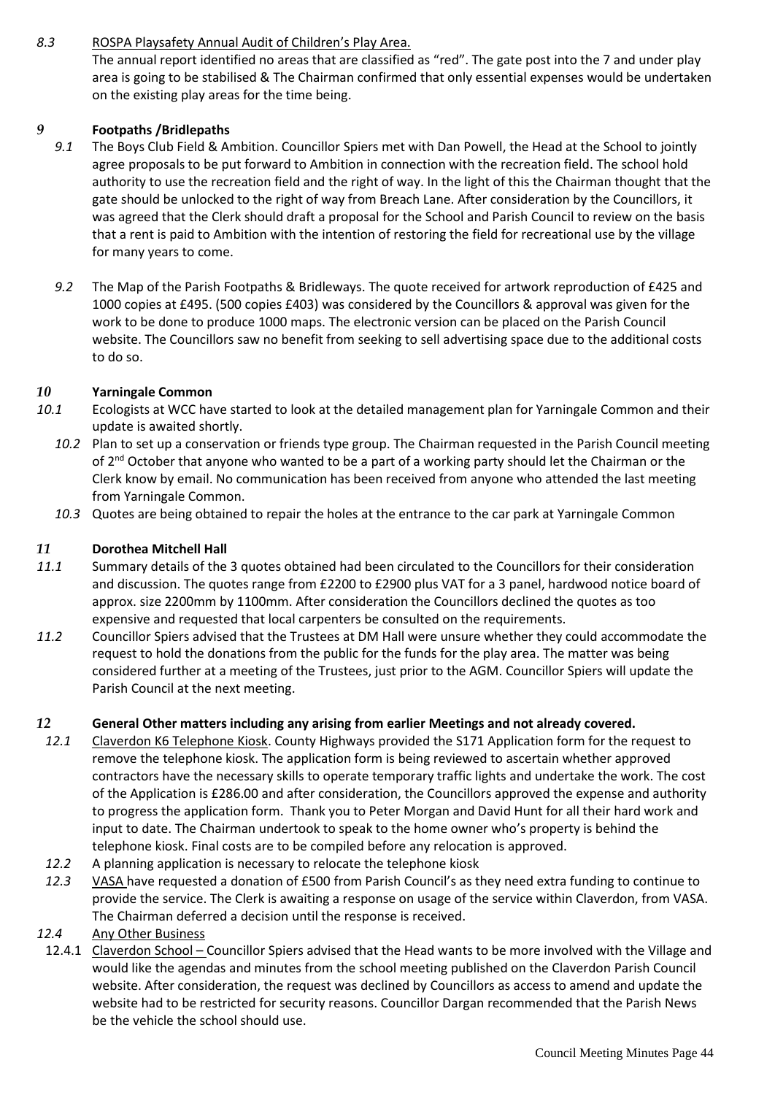### *8.3* ROSPA Playsafety Annual Audit of Children's Play Area.

The annual report identified no areas that are classified as "red". The gate post into the 7 and under play area is going to be stabilised & The Chairman confirmed that only essential expenses would be undertaken on the existing play areas for the time being.

#### *9* **Footpaths /Bridlepaths**

- *9.1* The Boys Club Field & Ambition. Councillor Spiers met with Dan Powell, the Head at the School to jointly agree proposals to be put forward to Ambition in connection with the recreation field. The school hold authority to use the recreation field and the right of way. In the light of this the Chairman thought that the gate should be unlocked to the right of way from Breach Lane. After consideration by the Councillors, it was agreed that the Clerk should draft a proposal for the School and Parish Council to review on the basis that a rent is paid to Ambition with the intention of restoring the field for recreational use by the village for many years to come.
- *9.2* The Map of the Parish Footpaths & Bridleways. The quote received for artwork reproduction of £425 and 1000 copies at £495. (500 copies £403) was considered by the Councillors & approval was given for the work to be done to produce 1000 maps. The electronic version can be placed on the Parish Council website. The Councillors saw no benefit from seeking to sell advertising space due to the additional costs to do so.

#### *10* **Yarningale Common**

- *10.1* Ecologists at WCC have started to look at the detailed management plan for Yarningale Common and their update is awaited shortly.
	- *10.2* Plan to set up a conservation or friends type group. The Chairman requested in the Parish Council meeting of 2<sup>nd</sup> October that anyone who wanted to be a part of a working party should let the Chairman or the Clerk know by email. No communication has been received from anyone who attended the last meeting from Yarningale Common.
	- *10.3* Quotes are being obtained to repair the holes at the entrance to the car park at Yarningale Common

#### *11* **Dorothea Mitchell Hall**

- *11.1* Summary details of the 3 quotes obtained had been circulated to the Councillors for their consideration and discussion. The quotes range from £2200 to £2900 plus VAT for a 3 panel, hardwood notice board of approx. size 2200mm by 1100mm. After consideration the Councillors declined the quotes as too expensive and requested that local carpenters be consulted on the requirements.
- *11.2* Councillor Spiers advised that the Trustees at DM Hall were unsure whether they could accommodate the request to hold the donations from the public for the funds for the play area. The matter was being considered further at a meeting of the Trustees, just prior to the AGM. Councillor Spiers will update the Parish Council at the next meeting.

#### *12* **General Other matters including any arising from earlier Meetings and not already covered.**

- *12.1* Claverdon K6 Telephone Kiosk. County Highways provided the S171 Application form for the request to remove the telephone kiosk. The application form is being reviewed to ascertain whether approved contractors have the necessary skills to operate temporary traffic lights and undertake the work. The cost of the Application is £286.00 and after consideration, the Councillors approved the expense and authority to progress the application form. Thank you to Peter Morgan and David Hunt for all their hard work and input to date. The Chairman undertook to speak to the home owner who's property is behind the telephone kiosk. Final costs are to be compiled before any relocation is approved.
- *12.2* A planning application is necessary to relocate the telephone kiosk
- *12.3* VASA have requested a donation of £500 from Parish Council's as they need extra funding to continue to provide the service. The Clerk is awaiting a response on usage of the service within Claverdon, from VASA. The Chairman deferred a decision until the response is received.

#### *12.4* Any Other Business

12.4.1 Claverdon School - Councillor Spiers advised that the Head wants to be more involved with the Village and would like the agendas and minutes from the school meeting published on the Claverdon Parish Council website. After consideration, the request was declined by Councillors as access to amend and update the website had to be restricted for security reasons. Councillor Dargan recommended that the Parish News be the vehicle the school should use.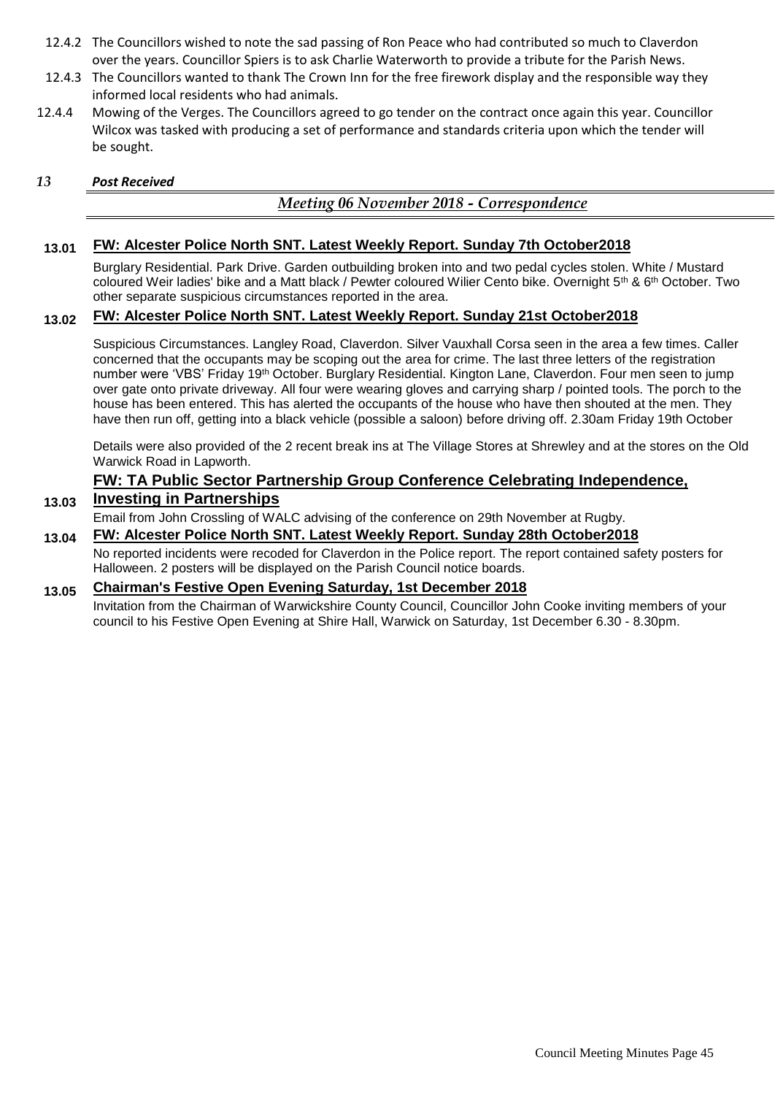- 12.4.2 The Councillors wished to note the sad passing of Ron Peace who had contributed so much to Claverdon over the years. Councillor Spiers is to ask Charlie Waterworth to provide a tribute for the Parish News.
- 12.4.3 The Councillors wanted to thank The Crown Inn for the free firework display and the responsible way they informed local residents who had animals.
- 12.4.4 Mowing of the Verges. The Councillors agreed to go tender on the contract once again this year. Councillor Wilcox was tasked with producing a set of performance and standards criteria upon which the tender will be sought.

#### *13 Post Received*

#### *Meeting 06 November 2018 - Correspondence*

#### **13.01 FW: Alcester Police North SNT. Latest Weekly Report. Sunday 7th October2018**

Burglary Residential. Park Drive. Garden outbuilding broken into and two pedal cycles stolen. White / Mustard coloured Weir ladies' bike and a Matt black / Pewter coloured Wilier Cento bike. Overnight 5th & 6th October. Two other separate suspicious circumstances reported in the area.

#### **13.02 FW: Alcester Police North SNT. Latest Weekly Report. Sunday 21st October2018**

Suspicious Circumstances. Langley Road, Claverdon. Silver Vauxhall Corsa seen in the area a few times. Caller concerned that the occupants may be scoping out the area for crime. The last three letters of the registration number were 'VBS' Friday 19<sup>th</sup> October. Burglary Residential. Kington Lane, Claverdon. Four men seen to jump over gate onto private driveway. All four were wearing gloves and carrying sharp / pointed tools. The porch to the house has been entered. This has alerted the occupants of the house who have then shouted at the men. They have then run off, getting into a black vehicle (possible a saloon) before driving off. 2.30am Friday 19th October

Details were also provided of the 2 recent break ins at The Village Stores at Shrewley and at the stores on the Old Warwick Road in Lapworth.

## **FW: TA Public Sector Partnership Group Conference Celebrating Independence,**

#### **13.03 Investing in Partnerships**

Email from John Crossling of WALC advising of the conference on 29th November at Rugby.

#### **13.04 FW: Alcester Police North SNT. Latest Weekly Report. Sunday 28th October2018**

No reported incidents were recoded for Claverdon in the Police report. The report contained safety posters for Halloween. 2 posters will be displayed on the Parish Council notice boards.

#### **13.05 Chairman's Festive Open Evening Saturday, 1st December 2018**

Invitation from the Chairman of Warwickshire County Council, Councillor John Cooke inviting members of your council to his Festive Open Evening at Shire Hall, Warwick on Saturday, 1st December 6.30 - 8.30pm.